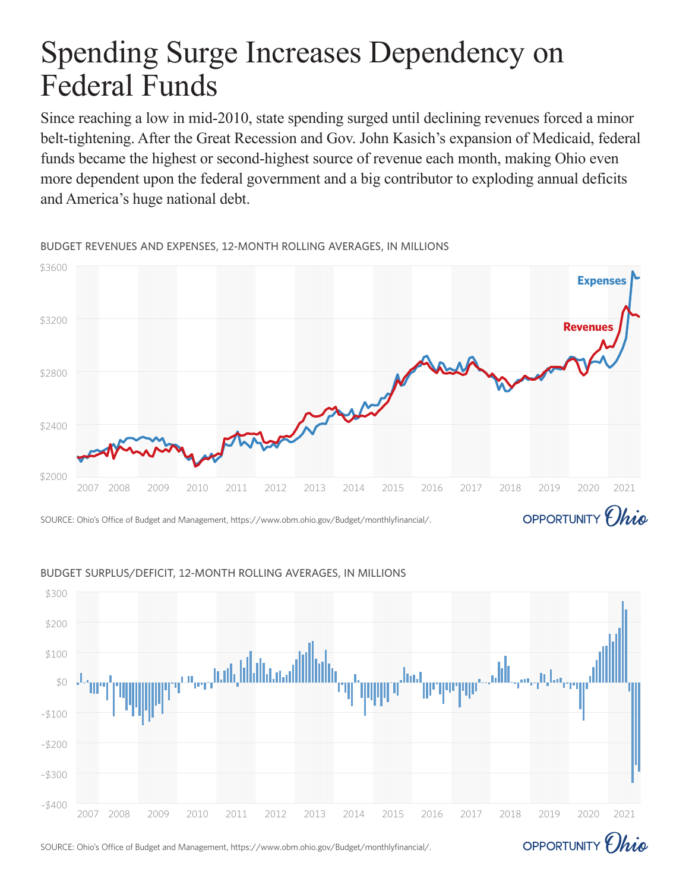# Spending Surge Increases Dependency on Federal Funds

Since reaching a low in mid-2010, state spending surged until declining revenues forced a minor belt-tightening. After the Great Recession and Gov. John Kasich's expansion of Medicaid, federal funds became the highest or second-highest source of revenue each month, making Ohio even more dependent upon the federal government and a big contributor to exploding annual deficits and America's huge national debt.

\$3600 **Expenses**\$3200 **Revenue** \$2800 \$2400 \$2000 2007 2008 2009 2010 2011 2012 2013 2014 2015 2016 2017 2018 2019 2020 2021 OPPORTUNITY *Ohio* SOURCE: Ohio's Office of Budget and Management, https://www.obm.ohio.gov/Budget/monthlyfinancial/.

BUDGET REVENUES AND EXPENSES, 12-MONTH ROLLING AVERAGES, IN MILLIONS

## 2007 2008 2009 2010 2011 2012 2013 2014 2015 2016 2017 2018 2019 2020 2021 –\$400 –\$300 –\$200 –\$100 \$0 \$100 \$200 \$300

#### BUDGET SURPLUS/DEFICIT, 12-MONTH ROLLING AVERAGES, IN MILLIONS